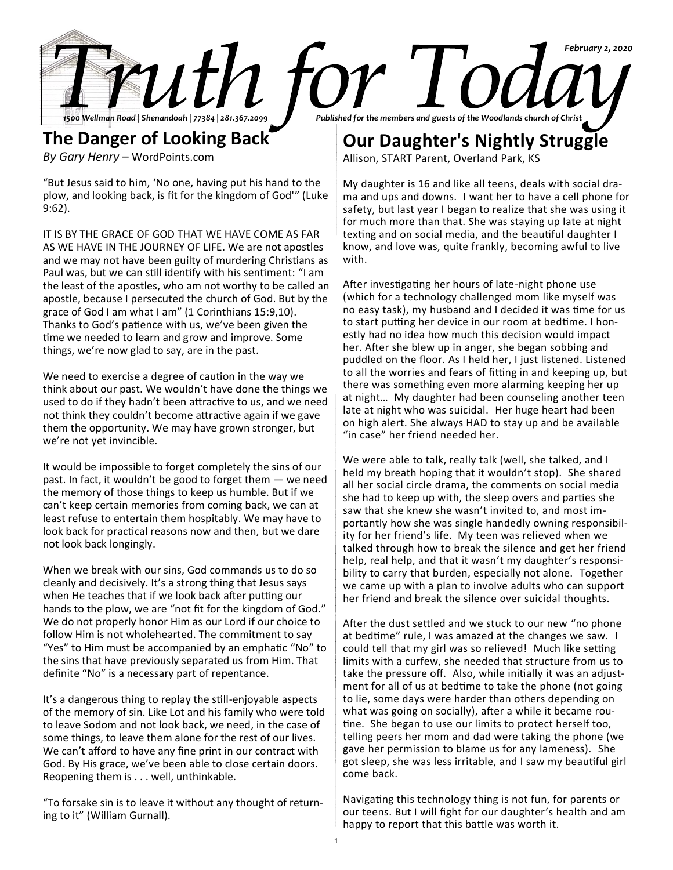

**The Danger of Looking Back** *By Gary Henry* – WordPoints.com

"But Jesus said to him, 'No one, having put his hand to the plow, and looking back, is fit for the kingdom of God'" (Luke 9:62).

IT IS BY THE GRACE OF GOD THAT WE HAVE COME AS FAR AS WE HAVE IN THE JOURNEY OF LIFE. We are not apostles and we may not have been guilty of murdering Christians as Paul was, but we can still identify with his sentiment: "I am the least of the apostles, who am not worthy to be called an apostle, because I persecuted the church of God. But by the grace of God I am what I am" (1 Corinthians 15:9,10). Thanks to God's patience with us, we've been given the time we needed to learn and grow and improve. Some things, we're now glad to say, are in the past.

We need to exercise a degree of caution in the way we think about our past. We wouldn't have done the things we used to do if they hadn't been attractive to us, and we need not think they couldn't become attractive again if we gave them the opportunity. We may have grown stronger, but we're not yet invincible.

It would be impossible to forget completely the sins of our past. In fact, it wouldn't be good to forget them — we need the memory of those things to keep us humble. But if we can't keep certain memories from coming back, we can at least refuse to entertain them hospitably. We may have to look back for practical reasons now and then, but we dare not look back longingly.

When we break with our sins, God commands us to do so cleanly and decisively. It's a strong thing that Jesus says when He teaches that if we look back after putting our hands to the plow, we are "not fit for the kingdom of God." We do not properly honor Him as our Lord if our choice to follow Him is not wholehearted. The commitment to say "Yes" to Him must be accompanied by an emphatic "No" to the sins that have previously separated us from Him. That definite "No" is a necessary part of repentance.

It's a dangerous thing to replay the still-enjoyable aspects of the memory of sin. Like Lot and his family who were told to leave Sodom and not look back, we need, in the case of some things, to leave them alone for the rest of our lives. We can't afford to have any fine print in our contract with God. By His grace, we've been able to close certain doors. Reopening them is . . . well, unthinkable.

"To forsake sin is to leave it without any thought of returning to it" (William Gurnall).

**Our Daughter's Nightly Struggle**

Allison, START Parent, Overland Park, KS

My daughter is 16 and like all teens, deals with social drama and ups and downs. I want her to have a cell phone for safety, but last year I began to realize that she was using it for much more than that. She was staying up late at night texting and on social media, and the beautiful daughter I know, and love was, quite frankly, becoming awful to live with.

After investigating her hours of late-night phone use (which for a technology challenged mom like myself was no easy task), my husband and I decided it was time for us to start putting her device in our room at bedtime. I honestly had no idea how much this decision would impact her. After she blew up in anger, she began sobbing and puddled on the floor. As I held her, I just listened. Listened to all the worries and fears of fitting in and keeping up, but there was something even more alarming keeping her up at night… My daughter had been counseling another teen late at night who was suicidal. Her huge heart had been on high alert. She always HAD to stay up and be available "in case" her friend needed her.

We were able to talk, really talk (well, she talked, and I held my breath hoping that it wouldn't stop). She shared all her social circle drama, the comments on social media she had to keep up with, the sleep overs and parties she saw that she knew she wasn't invited to, and most importantly how she was single handedly owning responsibility for her friend's life. My teen was relieved when we talked through how to break the silence and get her friend help, real help, and that it wasn't my daughter's responsibility to carry that burden, especially not alone. Together we came up with a plan to involve adults who can support her friend and break the silence over suicidal thoughts.

After the dust settled and we stuck to our new "no phone at bedtime" rule, I was amazed at the changes we saw. I could tell that my girl was so relieved! Much like setting limits with a curfew, she needed that structure from us to take the pressure off. Also, while initially it was an adjustment for all of us at bedtime to take the phone (not going to lie, some days were harder than others depending on what was going on socially), after a while it became routine. She began to use our limits to protect herself too, telling peers her mom and dad were taking the phone (we gave her permission to blame us for any lameness). She got sleep, she was less irritable, and I saw my beautiful girl come back.

Navigating this technology thing is not fun, for parents or our teens. But I will fight for our daughter's health and am happy to report that this battle was worth it.